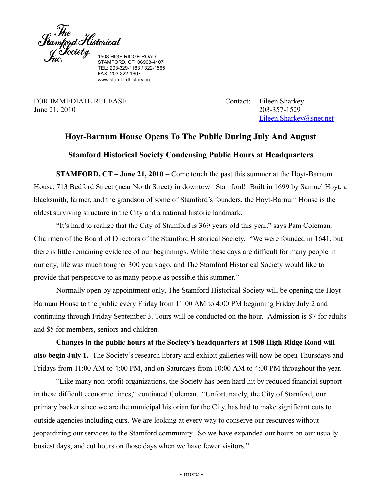$\int_{\mathcal{L}}^{Jhe} \int_{\mathcal{L}}^{Jche} \mathcal{L}^{Jiste}_{J}$  isos HIGH RIDGE ROAD

STAMFORD, CT 06903-4107 TEL: 203-329-1183 / 322-1565 FAX: 203-322-1607 www.stamfordhistory.org

FOR IMMEDIATE RELEASE Contact: Eileen Sharkey June 21, 2010 203-357-1529

[Eileen.Sharkey@snet.net](mailto:Eileen.Sharkey@snet.net)

## **Hoyt-Barnum House Opens To The Public During July And August**

## **Stamford Historical Society Condensing Public Hours at Headquarters**

**STAMFORD, CT – June 21, 2010** – Come touch the past this summer at the Hoyt-Barnum House, 713 Bedford Street (near North Street) in downtown Stamford! Built in 1699 by Samuel Hoyt, a blacksmith, farmer, and the grandson of some of Stamford's founders, the Hoyt-Barnum House is the oldest surviving structure in the City and a national historic landmark.

"It's hard to realize that the City of Stamford is 369 years old this year," says Pam Coleman, Chairmen of the Board of Directors of the Stamford Historical Society. "We were founded in 1641, but there is little remaining evidence of our beginnings. While these days are difficult for many people in our city, life was much tougher 300 years ago, and The Stamford Historical Society would like to provide that perspective to as many people as possible this summer."

Normally open by appointment only, The Stamford Historical Society will be opening the Hoyt-Barnum House to the public every Friday from 11:00 AM to 4:00 PM beginning Friday July 2 and continuing through Friday September 3. Tours will be conducted on the hour. Admission is \$7 for adults and \$5 for members, seniors and children.

**Changes in the public hours at the Society's headquarters at 1508 High Ridge Road will also begin July 1.** The Society's research library and exhibit galleries will now be open Thursdays and Fridays from 11:00 AM to 4:00 PM, and on Saturdays from 10:00 AM to 4:00 PM throughout the year.

"Like many non-profit organizations, the Society has been hard hit by reduced financial support in these difficult economic times," continued Coleman. "Unfortunately, the City of Stamford, our primary backer since we are the municipal historian for the City, has had to make significant cuts to outside agencies including ours. We are looking at every way to conserve our resources without jeopardizing our services to the Stamford community. So we have expanded our hours on our usually busiest days, and cut hours on those days when we have fewer visitors."